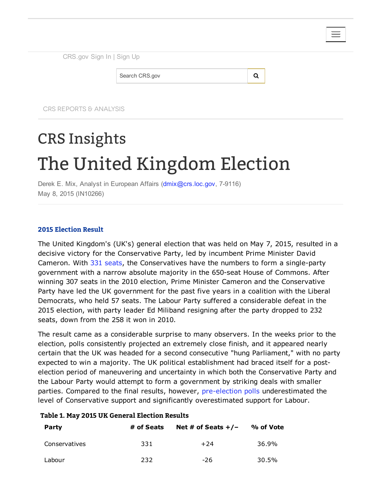| CRS.gov Sign In   Sign Up |   |  |
|---------------------------|---|--|
| Search CRS.gov            | O |  |
|                           |   |  |

CRS REPORTS & ANALYSIS

# CRS Insights The United Kingdom Election

Derek E. Mix, Analyst in European Affairs [\(dmix@crs.loc.gov](mailto:dmix@crs.loc.gov), 7-9116) May 8, 2015 (IN10266)

## 2015 Election Result

The United Kingdom's (UK's) general election that was held on May 7, 2015, resulted in a decisive victory for the Conservative Party, led by incumbent Prime Minister David Cameron. With 331 [seats](http://www.bbc.com/news/election/2015/results), the Conservatives have the numbers to form a single-party government with a narrow absolute majority in the 650-seat House of Commons. After winning 307 seats in the 2010 election, Prime Minister Cameron and the Conservative Party have led the UK government for the past five years in a coalition with the Liberal Democrats, who held 57 seats. The Labour Party suffered a considerable defeat in the 2015 election, with party leader Ed Miliband resigning after the party dropped to 232 seats, down from the 258 it won in 2010.

The result came as a considerable surprise to many observers. In the weeks prior to the election, polls consistently projected an extremely close finish, and it appeared nearly certain that the UK was headed for a second consecutive "hung Parliament," with no party expected to win a majority. The UK political establishment had braced itself for a postelection period of maneuvering and uncertainty in which both the Conservative Party and the Labour Party would attempt to form a government by striking deals with smaller parties. Compared to the final results, however, pre-election polls underestimated the level of Conservative support and significantly overestimated support for Labour.

### Table 1. May 2015 UK General Election Results

| <b>Party</b>  | # of Seats | Net # of Seats $+/-$ | % of Vote |  |
|---------------|------------|----------------------|-----------|--|
| Conservatives | 331        | $+24$                | 36.9%     |  |
| Labour        | 232        | -26                  | 30.5%     |  |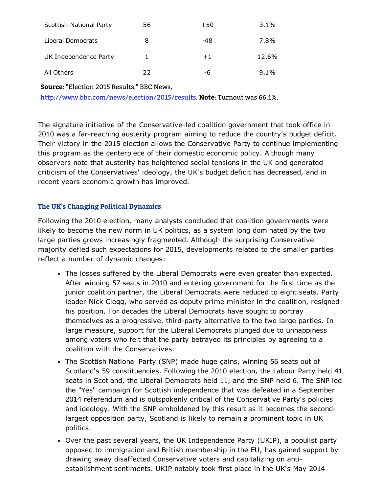| Scottish National Party | 56 | $+50$ | $3.1\%$ |
|-------------------------|----|-------|---------|
| Liberal Democrats       | 8  | -48   | 7.8%    |
| UK Independence Party   | 1. | $+1$  | 12.6%   |
| All Others              | つつ | -6    | $9.1\%$ |

# Source: "Election 2015 Results," BBC News,

[http://www.bbc.com/news/election/2015/results.](http://www.bbc.com/news/election/2015/results) Note: Turnout was 66.1%.

The signature initiative of the Conservative-led coalition government that took office in 2010 was a far-reaching austerity program aiming to reduce the country's budget deficit. Their victory in the 2015 election allows the Conservative Party to continue implementing this program as the centerpiece of their domestic economic policy. Although many observers note that austerity has heightened social tensions in the UK and generated criticism of the Conservatives' ideology, the UK's budget deficit has decreased, and in recent years economic growth has improved.

## The UK's Changing Political Dynamics

Following the 2010 election, many analysts concluded that coalition governments were likely to become the new norm in UK politics, as a system long dominated by the two large parties grows increasingly fragmented. Although the surprising Conservative majority defied such expectations for 2015, developments related to the smaller parties reflect a number of dynamic changes:

- The losses suffered by the Liberal Democrats were even greater than expected. After winning 57 seats in 2010 and entering government for the first time as the junior coalition partner, the Liberal Democrats were reduced to eight seats. Party leader Nick Clegg, who served as deputy prime minister in the coalition, resigned his position. For decades the Liberal Democrats have sought to portray themselves as a progressive, third-party alternative to the two large parties. In large measure, support for the Liberal Democrats plunged due to unhappiness among voters who felt that the party betrayed its principles by agreeing to a coalition with the Conservatives.
- The Scottish National Party (SNP) made huge gains, winning 56 seats out of Scotland's 59 constituencies. Following the 2010 election, the Labour Party held 41 seats in Scotland, the Liberal Democrats held 11, and the SNP held 6. The SNP led the "Yes" campaign for Scottish independence that was defeated in a September 2014 referendum and is outspokenly critical of the Conservative Party's policies and ideology. With the SNP emboldened by this result as it becomes the secondlargest opposition party, Scotland is likely to remain a prominent topic in UK politics.
- Over the past several years, the UK Independence Party (UKIP), a populist party opposed to immigration and British membership in the EU, has gained support by drawing away disaffected Conservative voters and capitalizing on antiestablishment sentiments. UKIP notably took first place in the UK's May 2014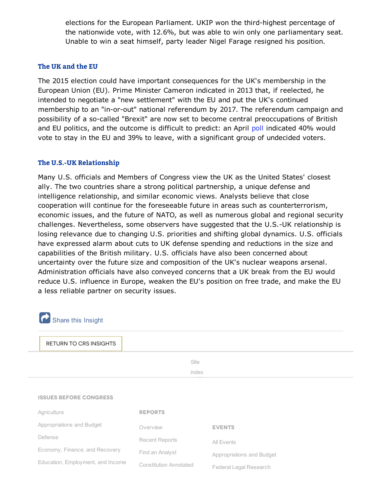elections for the European Parliament. UKIP won the third-highest percentage of the nationwide vote, with 12.6%, but was able to win only one parliamentary seat. Unable to win a seat himself, party leader Nigel Farage resigned his position.

## The UK and the EU

The 2015 election could have important consequences for the UK's membership in the European Union (EU). Prime Minister Cameron indicated in 2013 that, if reelected, he intended to negotiate a "new settlement" with the EU and put the UK's continued membership to an "in-or-out" national referendum by 2017. The referendum campaign and possibility of a so-called "Brexit" are now set to become central preoccupations of British and EU politics, and the outcome is difficult to predict: an April [poll](http://www.populus.co.uk/wp-content/uploads/OmFT-Poll.pdf) indicated 40% would vote to stay in the EU and 39% to leave, with a significant group of undecided voters.

#### The U.S.-UK Relationship

Many U.S. officials and Members of Congress view the UK as the United States' closest ally. The two countries share a strong political partnership, a unique defense and intelligence relationship, and similar economic views. Analysts believe that close cooperation will continue for the foreseeable future in areas such as counterterrorism, economic issues, and the future of NATO, as well as numerous global and regional security challenges. Nevertheless, some observers have suggested that the U.S.-UK relationship is losing relevance due to changing U.S. priorities and shifting global dynamics. U.S. officials have expressed alarm about cuts to UK defense spending and reductions in the size and capabilities of the British military. U.S. officials have also been concerned about uncertainty over the future size and composition of the UK's nuclear weapons arsenal. Administration officials have also conveyed concerns that a UK break from the EU would reduce U.S. influence in Europe, weaken the EU's position on free trade, and make the EU a less reliable partner on security issues.

| Share this Insight                |                               |                           |
|-----------------------------------|-------------------------------|---------------------------|
| <b>RETURN TO CRS INSIGHTS</b>     |                               |                           |
|                                   | Site                          |                           |
|                                   | index                         |                           |
| <b>ISSUES BEFORE CONGRESS</b>     |                               |                           |
| Agriculture                       | <b>REPORTS</b>                |                           |
| Appropriations and Budget         | Overview                      | <b>EVENTS</b>             |
| Defense                           | <b>Recent Reports</b>         | All Events                |
| Economy, Finance, and Recovery    | Find an Analyst               | Appropriations and Budget |
| Education, Employment, and Income | <b>Constitution Annotated</b> | Federal Legal Research    |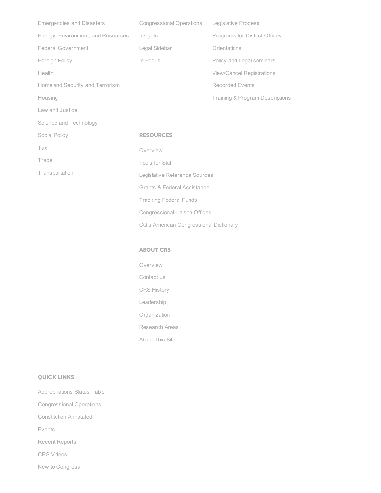| <b>Emergencies and Disasters</b>   | Congressional Operations Legislative Process |                                            |  |
|------------------------------------|----------------------------------------------|--------------------------------------------|--|
| Energy, Environment, and Resources | Insights                                     | Programs for District Offices              |  |
| <b>Federal Government</b>          | Legal Sidebar                                | Orientations                               |  |
| Foreign Policy                     | In Focus                                     | Policy and Legal seminars                  |  |
| Health                             |                                              | <b>View/Cancel Registrations</b>           |  |
| Homeland Security and Terrorism    |                                              | Recorded Events                            |  |
| Housing                            |                                              | <b>Training &amp; Program Descriptions</b> |  |
| Law and Justice                    |                                              |                                            |  |
| Science and Technology             |                                              |                                            |  |
| Social Policy                      | <b>RESOURCES</b>                             |                                            |  |
| Tax                                | Overview                                     |                                            |  |
| Trade                              | Tools for Staff                              |                                            |  |
| Transportation                     | Legislative Reference Sources                |                                            |  |
|                                    | <b>Grants &amp; Federal Assistance</b>       |                                            |  |
|                                    | <b>Tracking Federal Funds</b>                |                                            |  |
|                                    | <b>Congressional Liaison Offices</b>         |                                            |  |

CQ's American [Congressional](http://www.crs.gov/Pages/glossary_a.aspx) Dictionary

#### ABOUT CRS

[Overview](http://www.crs.gov/aboutcrs/Pages/AboutCRS.aspx) [Contact](http://www.crs.gov/aboutcrs/Pages/ContactUs.aspx) us CRS [History](http://www.crs.gov/aboutcrs/Pages/CRSHistory.aspx) [Leadership](http://www.crs.gov/aboutcrs/Pages/Leadership.aspx) [Organization](http://www.crs.gov/aboutcrs/Pages/Organization.aspx)

[Research](http://www.crs.gov/aboutcrs/Pages/ResearchAreas.aspx) Areas

[About](http://www.crs.gov/aboutcrs/Pages/AboutThisSite.aspx) This Site

#### QUICK LINKS

[Appropriations](http://www.crs.gov/pages/AppropriationsStatusTable.aspx) Status Table

[Congressional](http://www.crs.gov/Analysis/CongOps.aspx) Operations

[Constitution](http://www.crs.gov/pages/constitutionannotated.aspx) Annotated

[Events](http://www.crs.gov/Events/EvtDefault.aspx)

Recent [Reports](http://www.crs.gov/Analysis/RecentReports.aspx)

CRS [Videos](http://www.crs.gov/video/videoindex.aspx)

New to [Congress](http://www.crs.gov/pages/newtocongress.aspx)